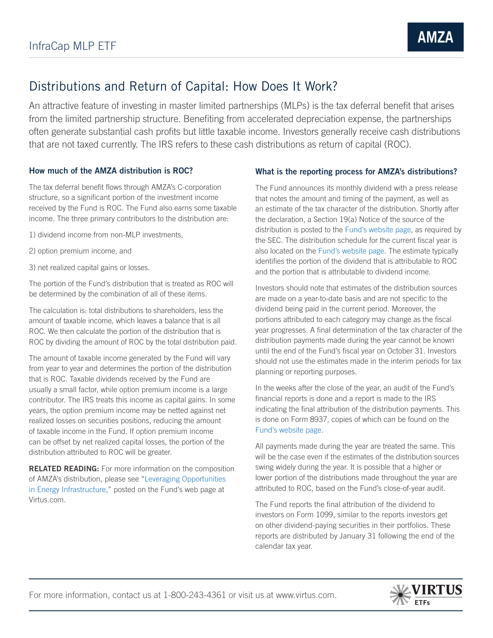## Distributions and Return of Capital: How Does It Work?

An attractive feature of investing in master limited partnerships (MLPs) is the tax deferral benefit that arises from the limited partnership structure. Benefiting from accelerated depreciation expense, the partnerships often generate substantial cash profits but little taxable income. Investors generally receive cash distributions that are not taxed currently. The IRS refers to these cash distributions as return of capital (ROC).

## How much of the AMZA distribution is ROC?

The tax deferral benefit flows through AMZA's C-corporation structure, so a significant portion of the investment income received by the Fund is ROC. The Fund also earns some taxable income. The three primary contributors to the distribution are:

- 1) dividend income from non-MLP investments,
- 2) option premium income, and
- 3) net realized capital gains or losses.

The portion of the Fund's distribution that is treated as ROC will be determined by the combination of all of these items.

The calculation is: total distributions to shareholders, less the amount of taxable income, which leaves a balance that is all ROC. We then calculate the portion of the distribution that is ROC by dividing the amount of ROC by the total distribution paid.

The amount of taxable income generated by the Fund will vary from year to year and determines the portion of the distribution that is ROC. Taxable dividends received by the Fund are usually a small factor, while option premium income is a large contributor. The IRS treats this income as capital gains. In some years, the option premium income may be netted against net realized losses on securities positions, reducing the amount of taxable income in the Fund. If option premium income can be offset by net realized capital losses, the portion of the distribution attributed to ROC will be greater.

RELATED READING: For more information on the composition of AMZA's distribution, please see "Leveraging Opportunities in Energy Infrastructure," posted on the Fund's web page at Virtus.com.

## What is the reporting process for AMZA's distributions?

The Fund announces its monthly dividend with a press release that notes the amount and timing of the payment, as well as an estimate of the tax character of the distribution. Shortly after the declaration, a Section 19(a) Notice of the source of the distribution is posted to the Fund's website page, as required by the SEC. The distribution schedule for the current fiscal year is also located on the Fund's website page. The estimate typically identifies the portion of the dividend that is attributable to ROC and the portion that is attributable to dividend income.

Investors should note that estimates of the distribution sources are made on a year-to-date basis and are not specific to the dividend being paid in the current period. Moreover, the portions attributed to each category may change as the fiscal year progresses. A final determination of the tax character of the distribution payments made during the year cannot be known until the end of the Fund's fiscal year on October 31. Investors should not use the estimates made in the interim periods for tax planning or reporting purposes.

In the weeks after the close of the year, an audit of the Fund's financial reports is done and a report is made to the IRS indicating the final attribution of the distribution payments. This is done on Form 8937, copies of which can be found on the Fund's website page.

All payments made during the year are treated the same. This will be the case even if the estimates of the distribution sources swing widely during the year. It is possible that a higher or lower portion of the distributions made throughout the year are attributed to ROC, based on the Fund's close-of-year audit.

The Fund reports the final attribution of the dividend to investors on Form 1099, similar to the reports investors get on other dividend-paying securities in their portfolios. These reports are distributed by January 31 following the end of the calendar tax year.

For more information, contact us at 1-800-243-4361 or visit us at www.virtus.com.